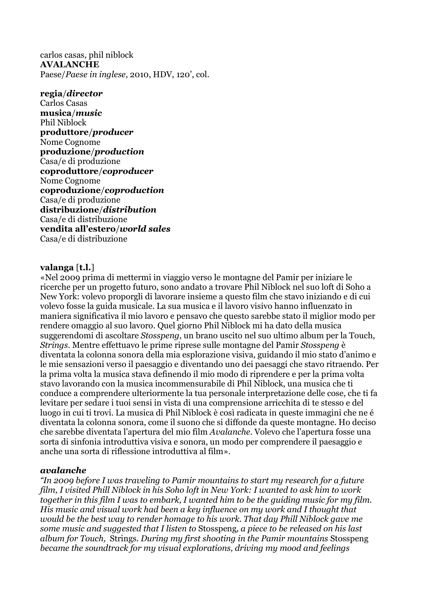carlos casas, phil niblock **AVALANCHE** Paese/*Paese in inglese*, 2010, HDV, 120', col.

**regia**/*director*

Carlos Casas **musica**/*music* Phil Niblock **produttore**/*producer* Nome Cognome **produzione**/*production* Casa/e di produzione **coproduttore**/*coproducer* Nome Cognome **coproduzione**/*coproduction* Casa/e di produzione **distribuzione**/*distribution* Casa/e di distribuzione **vendita all'estero**/*world sales* Casa/e di distribuzione

## **valanga** [**t.l.**]

«Nel 2009 prima di mettermi in viaggio verso le montagne del Pamir per iniziare le ricerche per un progetto futuro, sono andato a trovare Phil Niblock nel suo loft di Soho a New York: volevo proporgli di lavorare insieme a questo film che stavo iniziando e di cui volevo fosse la guida musicale. La sua musica e il lavoro visivo hanno influenzato in maniera significativa il mio lavoro e pensavo che questo sarebbe stato il miglior modo per rendere omaggio al suo lavoro. Quel giorno Phil Niblock mi ha dato della musica suggerendomi di ascoltare *Stosspeng*, un brano uscito nel suo ultimo album per la Touch, *Strings*. Mentre effettuavo le prime riprese sulle montagne del Pamir *Stosspeng* è diventata la colonna sonora della mia esplorazione visiva, guidando il mio stato d'animo e le mie sensazioni verso il paesaggio e diventando uno dei paesaggi che stavo ritraendo. Per la prima volta la musica stava definendo il mio modo di riprendere e per la prima volta stavo lavorando con la musica incommensurabile di Phil Niblock, una musica che ti conduce a comprendere ulteriormente la tua personale interpretazione delle cose, che ti fa levitare per sedare i tuoi sensi in vista di una comprensione arricchita di te stesso e del luogo in cui ti trovi. La musica di Phil Niblock è così radicata in queste immagini che ne é diventata la colonna sonora, come il suono che si diffonde da queste montagne. Ho deciso che sarebbe diventata l'apertura del mio film *Avalanche*. Volevo che l'apertura fosse una sorta di sinfonia introduttiva visiva e sonora, un modo per comprendere il paesaggio e anche una sorta di riflessione introduttiva al film».

## *avalanche*

*"In 2009 before I was traveling to Pamir mountains to start my research for a future film, I visited Phill Niblock in his Soho loft in New York: I wanted to ask him to work together in this film I was to embark, I wanted him to be the guiding music for my film. His music and visual work had been a key influence on my work and I thought that would be the best way to render homage to his work. That day Phill Niblock gave me some music and suggested that I listen to* Stosspeng*, a piece to be released on his last album for Touch,* Strings*. During my first shooting in the Pamir mountains* Stosspeng *became the soundtrack for my visual explorations, driving my mood and feelings*